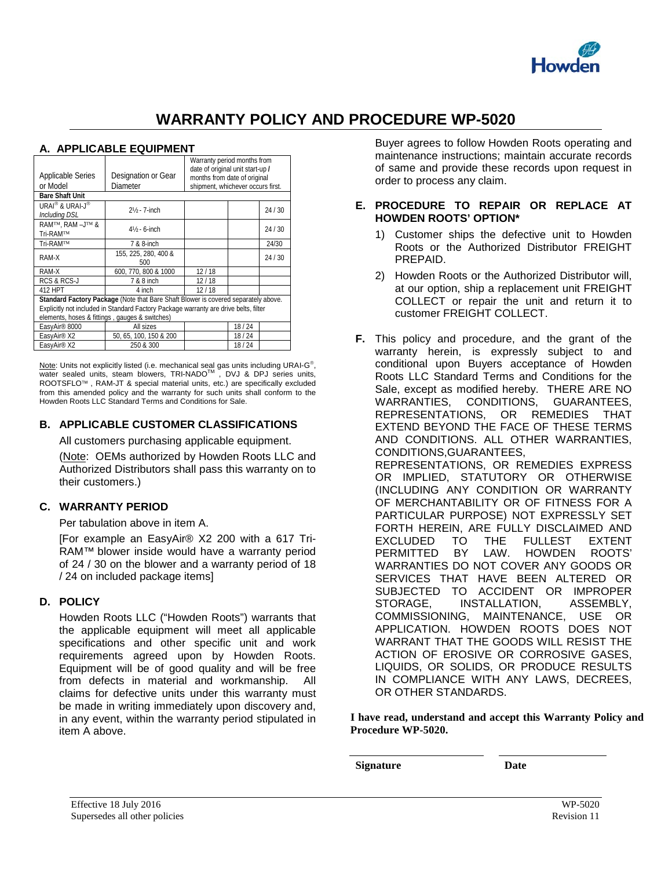

# **WARRANTY POLICY AND PROCEDURE WP-5020**

## **A. APPLICABLE EQUIPMENT**

| <b>Applicable Series</b><br>or Model                                                                                                                                                                                         | Designation or Gear<br>Diameter | Warranty period months from<br>date of original unit start-up /<br>months from date of original<br>shipment, whichever occurs first. |       |         |
|------------------------------------------------------------------------------------------------------------------------------------------------------------------------------------------------------------------------------|---------------------------------|--------------------------------------------------------------------------------------------------------------------------------------|-------|---------|
| <b>Bare Shaft Unit</b>                                                                                                                                                                                                       |                                 |                                                                                                                                      |       |         |
| $URAI^{\circledR}$ & URAI-J $^{\circledR}$<br><b>Including DSL</b>                                                                                                                                                           | $2\frac{1}{2}$ - 7-inch         |                                                                                                                                      |       | 24 / 30 |
| RAM™. RAM - J™ &<br>Tri-RAMTM                                                                                                                                                                                                | $4\%$ - 6-inch                  |                                                                                                                                      |       | 24 / 30 |
| Tri-RAMTM                                                                                                                                                                                                                    | 7 & 8-inch                      |                                                                                                                                      |       | 24/30   |
| RAM-X                                                                                                                                                                                                                        | 155, 225, 280, 400 &<br>500     |                                                                                                                                      |       | 24 / 30 |
| RAM-X                                                                                                                                                                                                                        | 600, 770, 800 & 1000            | 12/18                                                                                                                                |       |         |
| RCS & RCS-J                                                                                                                                                                                                                  | 7 & 8 inch                      | 12/18                                                                                                                                |       |         |
| 412 HPT                                                                                                                                                                                                                      | 4 inch                          | 12/18                                                                                                                                |       |         |
| Standard Factory Package (Note that Bare Shaft Blower is covered separately above.<br>Explicitly not included in Standard Factory Package warranty are drive belts, filter<br>elements, hoses & fittings, gauges & switches) |                                 |                                                                                                                                      |       |         |
| EasyAir <sup>®</sup> 8000                                                                                                                                                                                                    | All sizes                       |                                                                                                                                      | 18/24 |         |
| EasyAir <sup>®</sup> X2                                                                                                                                                                                                      | 50, 65, 100, 150 & 200          |                                                                                                                                      | 18/24 |         |
| EasyAir <sup>®</sup> X2                                                                                                                                                                                                      | 250 & 300                       |                                                                                                                                      | 18/24 |         |

Note: Units not explicitly listed (i.e. mechanical seal gas units including URAI-G<sup>®</sup>,<br>water sealed units, steam blowers, TRI-NADO™, DVJ & DPJ series units, ROOTSFLO<sup>™</sup> . RAM-JT & special material units, etc.) are specifically excluded from this amended policy and the warranty for such units shall conform to the Howden Roots LLC Standard Terms and Conditions for Sale.

### **B. APPLICABLE CUSTOMER CLASSIFICATIONS**

All customers purchasing applicable equipment.

(Note: OEMs authorized by Howden Roots LLC and Authorized Distributors shall pass this warranty on to their customers.)

## **C. WARRANTY PERIOD**

#### Per tabulation above in item A.

[For example an EasyAir® X2 200 with a 617 Tri-RAM™ blower inside would have a warranty period of 24 / 30 on the blower and a warranty period of 18 / 24 on included package items]

#### **D. POLICY**

Howden Roots LLC ("Howden Roots") warrants that the applicable equipment will meet all applicable specifications and other specific unit and work requirements agreed upon by Howden Roots. Equipment will be of good quality and will be free from defects in material and workmanship. All claims for defective units under this warranty must be made in writing immediately upon discovery and, in any event, within the warranty period stipulated in item A above.

Buyer agrees to follow Howden Roots operating and maintenance instructions; maintain accurate records of same and provide these records upon request in order to process any claim.

#### **E. PROCEDURE TO REPAIR OR REPLACE AT HOWDEN ROOTS' OPTION\***

- 1) Customer ships the defective unit to Howden Roots or the Authorized Distributor FREIGHT PREPAID.
- 2) Howden Roots or the Authorized Distributor will, at our option, ship a replacement unit FREIGHT COLLECT or repair the unit and return it to customer FREIGHT COLLECT.

**F.** This policy and procedure, and the grant of the warranty herein, is expressly subject to and conditional upon Buyers acceptance of Howden Roots LLC Standard Terms and Conditions for the Sale, except as modified hereby. THERE ARE NO WARRANTIES, CONDITIONS, GUARANTEES, REPRESENTATIONS, OR REMEDIES THAT EXTEND BEYOND THE FACE OF THESE TERMS AND CONDITIONS. ALL OTHER WARRANTIES, CONDITIONS,GUARANTEES, REPRESENTATIONS, OR REMEDIES EXPRESS OR IMPLIED, STATUTORY OR OTHERWISE (INCLUDING ANY CONDITION OR WARRANTY OF MERCHANTABILITY OR OF FITNESS FOR A PARTICULAR PURPOSE) NOT EXPRESSLY SET FORTH HEREIN, ARE FULLY DISCLAIMED AND EXCLUDED TO THE FULLEST EXTENT PERMITTED BY LAW. HOWDEN ROOTS' WARRANTIES DO NOT COVER ANY GOODS OR SERVICES THAT HAVE BEEN ALTERED OR<br>SUBJECTED TO ACCIDENT OR IMPROPER SUBJECTED TO ACCIDENT OR IMPROPER<br>STORAGE. INSTALLATION. ASSEMBLY. INSTALLATION, COMMISSIONING, MAINTENANCE, USE OR APPLICATION. HOWDEN ROOTS DOES NOT WARRANT THAT THE GOODS WILL RESIST THE ACTION OF EROSIVE OR CORROSIVE GASES, LIQUIDS, OR SOLIDS, OR PRODUCE RESULTS IN COMPLIANCE WITH ANY LAWS, DECREES, OR OTHER STANDARDS.

**I have read, understand and accept this Warranty Policy and Procedure WP-5020.**

**Signature Date**